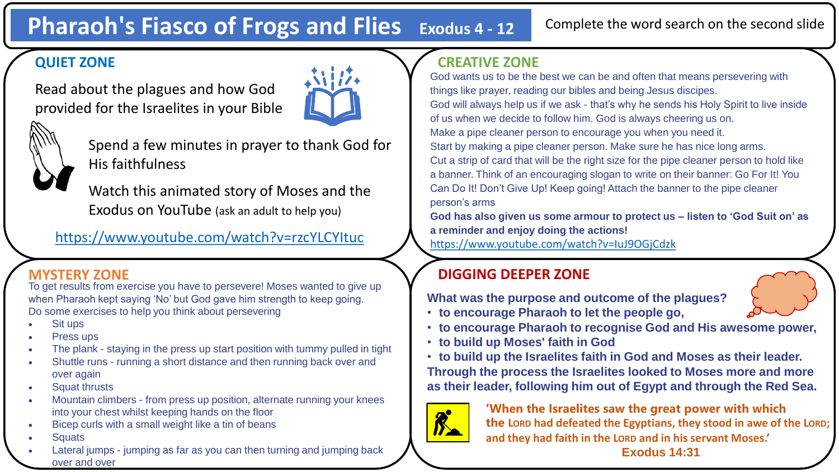# **Pharaoh's Fiasco of Frogs and Flies Exodus 4 - <sup>12</sup>**

#### Complete the word search on the second slide

## **QUIET ZONE**

Read about the plagues and how God provided for the Israelites in your Bible





Spend a few minutes in prayer to thank God for His faithfulness

Watch this animated story of Moses and the Exodus on YouTube (ask an adult to help you)

### <https://www.youtube.com/watch?v=rzcYLCYItuc>

To get results from exercise you have to persevere! Moses wanted to give up when Pharaoh kept saying 'No' but God gave him strength to keep going. Do some exercises to help you think about persevering

- Sit ups
- Press ups
- The plank staying in the press up start position with tummy pulled in tight
- Shuttle runs running a short distance and then running back over and over again
- Squat thrusts
- Mountain climbers from press up position, alternate running your knees into your chest whilst keeping hands on the floor
- Bicep curls with a small weight like a tin of beans
- **Squats**
- Lateral jumps jumping as far as you can then turning and jumping back over and over

# **CREATIVE ZONE**

God wants us to be the best we can be and often that means persevering with things like prayer, reading our bibles and being Jesus discipes. God will always help us if we ask - that's why he sends his Holy Spirit to live inside of us when we decide to follow him. God is always cheering us on. Make a pipe cleaner person to encourage you when you need it. Start by making a pipe cleaner person. Make sure he has nice long arms. Cut a strip of card that will be the right size for the pipe cleaner person to hold like a banner. Think of an encouraging slogan to write on their banner: Go For It! You Can Do It! Don't Give Up! Keep going! Attach the banner to the pipe cleaner person's arms

**God has also given us some armour to protect us – listen to 'God Suit on' as a reminder and enjoy doing the actions!** 

<https://www.youtube.com/watch?v=IuJ9OGjCdzk>

# **MYSTERY ZONE DIGGING DEEPER ZONE**

**What was the purpose and outcome of the plagues?**

- **to encourage Pharaoh to let the people go,**
- **to encourage Pharaoh to recognise God and His awesome power,**
- **to build up Moses' faith in God**
- **to build up the Israelites faith in God and Moses as their leader. Through the process the Israelites looked to Moses more and more as their leader, following him out of Egypt and through the Red Sea.**



**'When the Israelites saw the great power with which the LORD had defeated the Egyptians, they stood in awe of the LORD; and they had faith in the LORD and in his servant Moses.'**

**Exodus 14:31**